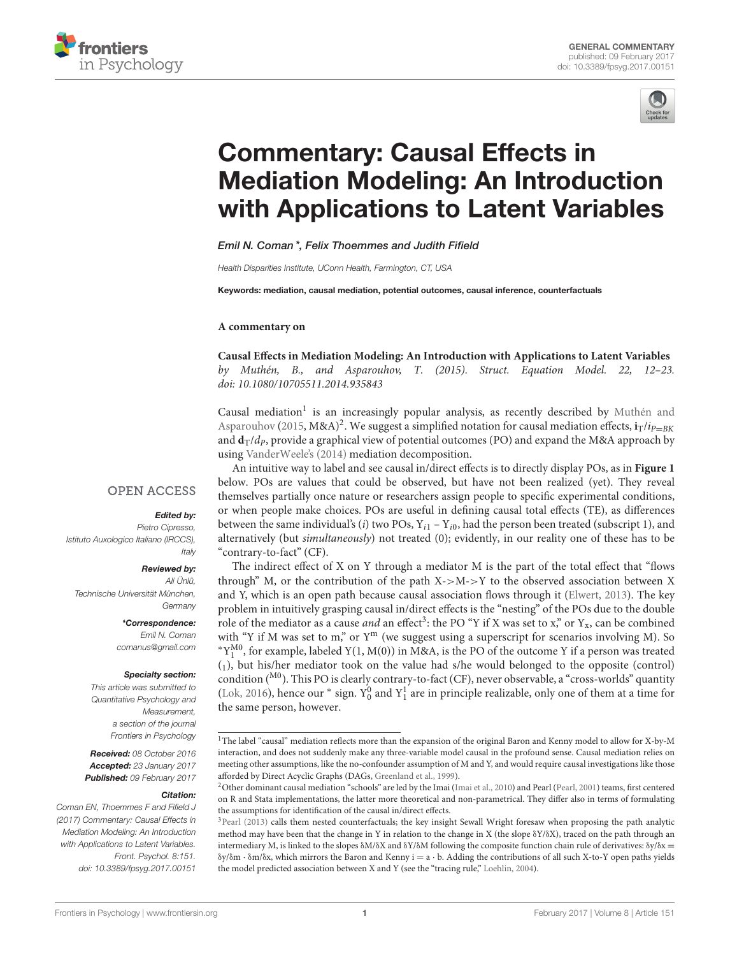



# Commentary: Causal Effects in Mediation Modeling: An Introduction [with Applications to Latent Variables](http://journal.frontiersin.org/article/10.3389/fpsyg.2017.00151/abstract)

[Emil N. Coman\\*](http://loop.frontiersin.org/people/102913/overview), [Felix Thoemmes](http://loop.frontiersin.org/people/130863/overview) and Judith Fifield

Health Disparities Institute, UConn Health, Farmington, CT, USA

Keywords: mediation, causal mediation, potential outcomes, causal inference, counterfactuals

#### **A commentary on**

**Causal Effects in Mediation Modeling: An Introduction with Applications to Latent Variables** by Muthén, B., and Asparouhov, T. (2015). Struct. Equation Model. 22, 12–23. doi: [10.1080/10705511.2014.935843](https://doi.org/10.1080/10705511.2014.935843)

Causal mediation<sup>1</sup> is an increasingly popular analysis, as recently described by Muthén and Asparouhov [\(2015,](#page-2-0)  $M&A)^2$  $M&A)^2$ . We suggest a simplified notation for causal mediation effects,  $\mathbf{i}_T/i_{P=BK}$ and  $\mathbf{d}_T/d_p$ , provide a graphical view of potential outcomes (PO) and expand the M&A approach by using [VanderWeele's \(2014\)](#page-2-1) mediation decomposition.

An intuitive way to label and see causal in/direct effects is to directly display POs, as in **[Figure 1](#page-1-0)** below. POs are values that could be observed, but have not been realized (yet). They reveal themselves partially once nature or researchers assign people to specific experimental conditions, or when people make choices. POs are useful in defining causal total effects (TE), as differences between the same individual's (i) two POs,  $Y_{i1} - Y_{i0}$ , had the person been treated (subscript 1), and alternatively (but simultaneously) not treated (0); evidently, in our reality one of these has to be "contrary-to-fact" (CF).

The indirect effect of X on Y through a mediator M is the part of the total effect that "flows through" M, or the contribution of the path  $X > M >> Y$  to the observed association between X and Y, which is an open path because causal association flows through it [\(Elwert, 2013\)](#page-2-2). The key problem in intuitively grasping causal in/direct effects is the "nesting" of the POs due to the double role of the mediator as a cause *and* an effect<sup>[3](#page-0-1)</sup>: the PO "Y if X was set to x," or  $Y_x$ , can be combined with "Y if M was set to m," or Y<sup>m</sup> (we suggest using a superscript for scenarios involving M). So ∗Y M0 1 , for example, labeled Y(1, M(0)) in M&A, is the PO of the outcome Y if a person was treated  $(1)$ , but his/her mediator took on the value had s/he would belonged to the opposite (control) condition ( $^{M0}$ ). This PO is clearly contrary-to-fact (CF), never observable, a "cross-worlds" quantity [\(Lok, 2016\)](#page-2-3), hence our \* sign.  $Y_0^0$  and  $Y_1^1$  are in principle realizable, only one of them at a time for the same person, however.

## **OPEN ACCESS**

## Edited by:

Pietro Cipresso, Istituto Auxologico Italiano (IRCCS), **Italy** 

#### Reviewed by:

Ali Ünlü, Technische Universität München, **Germany** 

> \*Correspondence: Emil N. Coman [comanus@gmail.com](mailto:comanus@gmail.com)

#### Specialty section:

This article was submitted to Quantitative Psychology and Measurement, a section of the journal Frontiers in Psychology

Received: 08 October 2016 Accepted: 23 January 2017 Published: 09 February 2017

#### Citation:

Coman EN, Thoemmes F and Fifield J (2017) Commentary: Causal Effects in Mediation Modeling: An Introduction with Applications to Latent Variables. Front. Psychol. 8:151. doi: [10.3389/fpsyg.2017.00151](https://doi.org/10.3389/fpsyg.2017.00151)

<sup>1</sup>The label "causal" mediation reflects more than the expansion of the original Baron and Kenny model to allow for X-by-M interaction, and does not suddenly make any three-variable model causal in the profound sense. Causal mediation relies on meeting other assumptions, like the no-confounder assumption of M and Y, and would require causal investigations like those afforded by Direct Acyclic Graphs (DAGs, [Greenland et al., 1999\)](#page-2-4).

<span id="page-0-0"></span><sup>&</sup>lt;sup>2</sup>Other dominant causal mediation "schools" are led by the Imai [\(Imai et al., 2010\)](#page-2-5) and Pearl [\(Pearl, 2001\)](#page-2-6) teams, first centered on R and Stata implementations, the latter more theoretical and non-parametrical. They differ also in terms of formulating the assumptions for identification of the causal in/direct effects.

<span id="page-0-1"></span><sup>&</sup>lt;sup>3</sup>[Pearl \(2013\)](#page-2-7) calls them nested counterfactuals; the key insight Sewall Wright foresaw when proposing the path analytic method may have been that the change in Y in relation to the change in X (the slope δY/δX), traced on the path through an intermediary M, is linked to the slopes  $\delta M/\delta X$  and  $\delta Y/\delta M$  following the composite function chain rule of derivatives:  $\delta y/\delta x$  =  $\delta y/\delta m \cdot \delta m/\delta x$ , which mirrors the Baron and Kenny  $i = a \cdot b$ . Adding the contributions of all such X-to-Y open paths yields the model predicted association between X and Y (see the "tracing rule," [Loehlin, 2004\)](#page-2-8).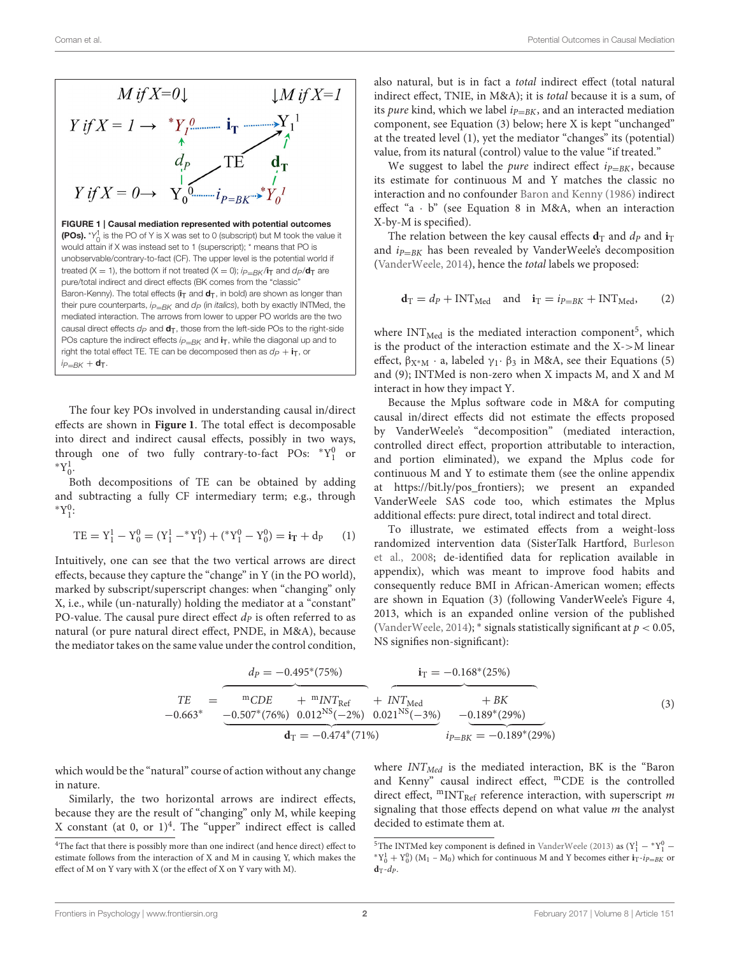<span id="page-1-0"></span>

The four key POs involved in understanding causal in/direct effects are shown in **[Figure 1](#page-1-0)**. The total effect is decomposable into direct and indirect causal effects, possibly in two ways, through one of two fully contrary-to-fact POs:  $*Y_1^0$  or  $*Y_0^1$ .

Both decompositions of TE can be obtained by adding and subtracting a fully CF intermediary term; e.g., through  $*Y_1^0:$ 

$$
TE = Y_1^1 - Y_0^0 = (Y_1^1 - {}^*Y_1^0) + ({}^*Y_1^0 - Y_0^0) = i_T + d_P \qquad (1)
$$

Intuitively, one can see that the two vertical arrows are direct effects, because they capture the "change" in Y (in the PO world), marked by subscript/superscript changes: when "changing" only X, i.e., while (un-naturally) holding the mediator at a "constant" PO-value. The causal pure direct effect  $dp$  is often referred to as natural (or pure natural direct effect, PNDE, in M&A), because the mediator takes on the same value under the control condition, also natural, but is in fact a total indirect effect (total natural indirect effect, TNIE, in M&A); it is total because it is a sum, of its pure kind, which we label  $i_{P=RK}$ , and an interacted mediation component, see Equation (3) below; here X is kept "unchanged" at the treated level (1), yet the mediator "changes" its (potential) value, from its natural (control) value to the value "if treated."

We suggest to label the *pure* indirect effect  $i_{P=BK}$ , because its estimate for continuous M and Y matches the classic no interaction and no confounder [Baron and Kenny \(1986\)](#page-2-9) indirect effect "a  $\cdot$  b" (see Equation 8 in M&A, when an interaction X-by-M is specified).

The relation between the key causal effects  $\mathbf{d}_T$  and  $\mathbf{d}_P$  and  $\mathbf{i}_T$ and  $i_{P=BK}$  has been revealed by VanderWeele's decomposition [\(VanderWeele, 2014\)](#page-2-1), hence the total labels we proposed:

$$
\mathbf{d}_{\mathrm{T}} = d_{P} + \mathrm{INT}_{\mathrm{Med}} \quad \text{and} \quad \mathbf{i}_{\mathrm{T}} = i_{P=BK} + \mathrm{INT}_{\mathrm{Med}}, \tag{2}
$$

where  $INT_{Med}$  is the mediated interaction component<sup>[5](#page-1-2)</sup>, which is the product of the interaction estimate and the X->M linear effect,  $\beta_{X^*M} \cdot a$ , labeled  $\gamma_1 \cdot \beta_3$  in M&A, see their Equations (5) and (9); INTMed is non-zero when X impacts M, and X and M interact in how they impact Y.

Because the Mplus software code in M&A for computing causal in/direct effects did not estimate the effects proposed by VanderWeele's "decomposition" (mediated interaction, controlled direct effect, proportion attributable to interaction, and portion eliminated), we expand the Mplus code for continuous M and Y to estimate them (see the online appendix at [https://bit.ly/pos\\_frontiers\)](https://bit.ly/pos_frontiers); we present an expanded VanderWeele SAS code too, which estimates the Mplus additional effects: pure direct, total indirect and total direct.

To illustrate, we estimated effects from a weight-loss randomized intervention data (SisterTalk Hartford, Burleson et al., [2008;](#page-2-10) de-identified data for replication available in appendix), which was meant to improve food habits and consequently reduce BMI in African-American women; effects are shown in Equation (3) (following VanderWeele's Figure 4, 2013, which is an expanded online version of the published [\(VanderWeele, 2014\)](#page-2-1);  $*$  signals statistically significant at  $p < 0.05$ , NS signifies non-significant):

$$
{}_{\text{TE}} = \underbrace{\overbrace{\text{m}_{\text{CDE}} + \text{m}_{\text{INT}_{\text{Ref}}}}^{\text{m}_{\text{CDE}}} + \overbrace{\text{m}_{\text{INT}_{\text{Ref}}}}^{\text{m}_{\text{CDE}}} + \overbrace{\text{m}_{\text{INT}_{\text{Ref}}}}^{\text{m}_{\text{CDE}}} + \overbrace{\text{m}_{\text{INT}_{\text{Ref}}}}^{\text{m}_{\text{CDE}}} + \overbrace{\text{m}_{\text{INT}_{\text{Ref}}}}^{\text{m}_{\text{T}} = -0.168^*(25\%)} + \overbrace{\text{m}_{\text{TM}}^*(25\%)}{-0.189^*(29\%)}}^{\text{tr}}_{\text{F} = -0.189^*(25\%)} \tag{3}
$$

which would be the "natural" course of action without any change in nature.

Similarly, the two horizontal arrows are indirect effects, because they are the result of "changing" only M, while keeping X constant (at 0, or  $1)^4$  $1)^4$ . The "upper" indirect effect is called

where  $INT_{Med}$  is the mediated interaction, BK is the "Baron and Kenny" causal indirect effect, <sup>m</sup>CDE is the controlled direct effect,  ${}^{\rm m} {\rm INT}_{\rm Ref}$  reference interaction, with superscript  $m$ signaling that those effects depend on what value  $m$  the analyst decided to estimate them at.

<span id="page-1-1"></span><sup>4</sup>The fact that there is possibly more than one indirect (and hence direct) effect to estimate follows from the interaction of X and M in causing Y, which makes the effect of M on Y vary with X (or the effect of X on Y vary with M).

<span id="page-1-2"></span><sup>&</sup>lt;sup>5</sup>The INTMed key component is defined in [VanderWeele \(2013\)](#page-2-11) as  $(Y_1^1 - *Y_1^0 {}^{*}Y_{0}^{1} + Y_{0}^{0}$  (M<sub>1</sub> – M<sub>0</sub>) which for continuous M and Y becomes either  $i_{T}$ - $i_{P=BK}$  or  $\mathbf{d}_\mathrm{T}$ - $d$ <sub>P</sub>.